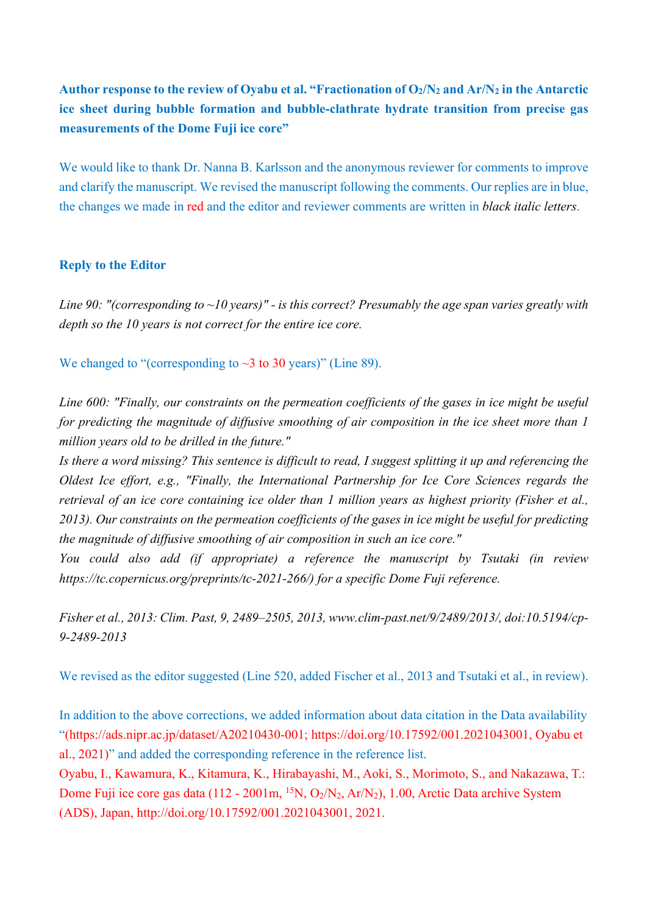## Author response to the review of Oyabu et al. "Fractionation of  $O_2/N_2$  and  $Ar/N_2$  in the Antarctic **ice sheet during bubble formation and bubble-clathrate hydrate transition from precise gas measurements of the Dome Fuji ice core"**

We would like to thank Dr. Nanna B. Karlsson and the anonymous reviewer for comments to improve and clarify the manuscript. We revised the manuscript following the comments. Our replies are in blue, the changes we made in red and the editor and reviewer comments are written in *black italic letters*.

## **Reply to the Editor**

*Line 90: "(corresponding to ~10 years)" - is this correct? Presumably the age span varies greatly with depth so the 10 years is not correct for the entire ice core.*

We changed to "(corresponding to  $\sim$ 3 to 30 years)" (Line 89).

*Line 600: "Finally, our constraints on the permeation coefficients of the gases in ice might be useful for predicting the magnitude of diffusive smoothing of air composition in the ice sheet more than 1 million years old to be drilled in the future."*

*Is there a word missing? This sentence is difficult to read, I suggest splitting it up and referencing the Oldest Ice effort, e.g., "Finally, the International Partnership for Ice Core Sciences regards the retrieval of an ice core containing ice older than 1 million years as highest priority (Fisher et al., 2013). Our constraints on the permeation coefficients of the gases in ice might be useful for predicting the magnitude of diffusive smoothing of air composition in such an ice core."*

*You could also add (if appropriate) a reference the manuscript by Tsutaki (in review https://tc.copernicus.org/preprints/tc-2021-266/) for a specific Dome Fuji reference.*

*Fisher et al., 2013: Clim. Past, 9, 2489–2505, 2013, www.clim-past.net/9/2489/2013/, doi:10.5194/cp-9-2489-2013*

We revised as the editor suggested (Line 520, added Fischer et al., 2013 and Tsutaki et al., in review).

In addition to the above corrections, we added information about data citation in the Data availability "(https://ads.nipr.ac.jp/dataset/A20210430-001; https://doi.org/10.17592/001.2021043001, Oyabu et al., 2021)" and added the corresponding reference in the reference list.

Oyabu, I., Kawamura, K., Kitamura, K., Hirabayashi, M., Aoki, S., Morimoto, S., and Nakazawa, T.: Dome Fuji ice core gas data (112 - 2001m, <sup>15</sup>N, O<sub>2</sub>/N<sub>2</sub>, Ar/N<sub>2</sub>), 1.00, Arctic Data archive System (ADS), Japan, http://doi.org/10.17592/001.2021043001, 2021.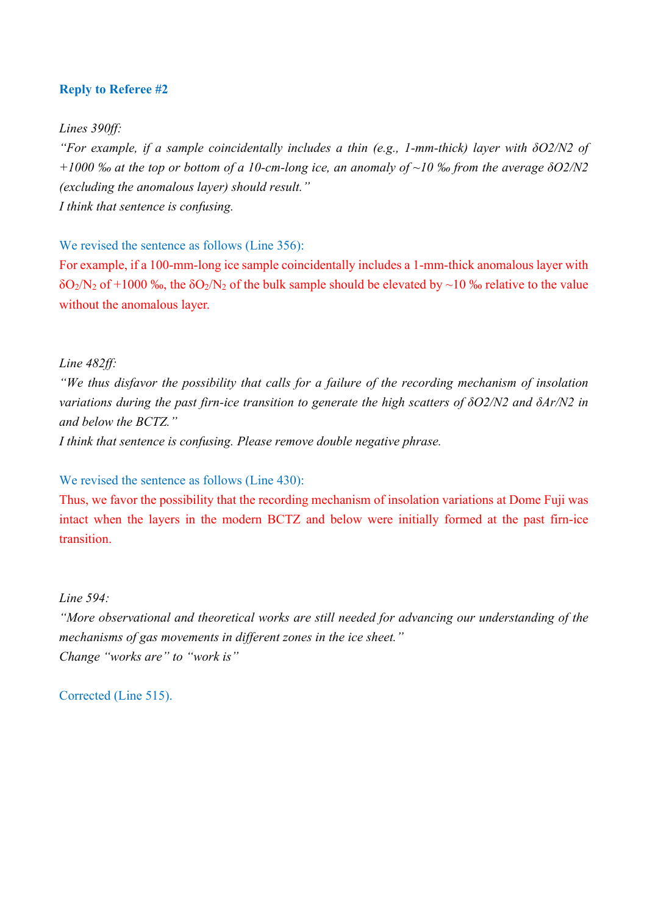## **Reply to Referee #2**

*Lines 390ff:*

*"For example, if a sample coincidentally includes a thin (e.g., 1-mm-thick) layer with δO2/N2 of +1000 ‰ at the top or bottom of a 10-cm-long ice, an anomaly of ~10 ‰ from the average δO2/N2 (excluding the anomalous layer) should result." I think that sentence is confusing.*

We revised the sentence as follows (Line 356):

For example, if a 100-mm-long ice sample coincidentally includes a 1-mm-thick anomalous layer with  $\delta O_2/N_2$  of +1000 ‰, the  $\delta O_2/N_2$  of the bulk sample should be elevated by ~10 ‰ relative to the value without the anomalous layer.

*Line 482ff:* 

*"We thus disfavor the possibility that calls for a failure of the recording mechanism of insolation variations during the past firn-ice transition to generate the high scatters of δO2/N2 and δAr/N2 in and below the BCTZ."*

*I think that sentence is confusing. Please remove double negative phrase.*

We revised the sentence as follows (Line 430):

Thus, we favor the possibility that the recording mechanism of insolation variations at Dome Fuji was intact when the layers in the modern BCTZ and below were initially formed at the past firn-ice transition.

*Line 594:*

*"More observational and theoretical works are still needed for advancing our understanding of the mechanisms of gas movements in different zones in the ice sheet." Change "works are" to "work is"*

Corrected (Line 515).